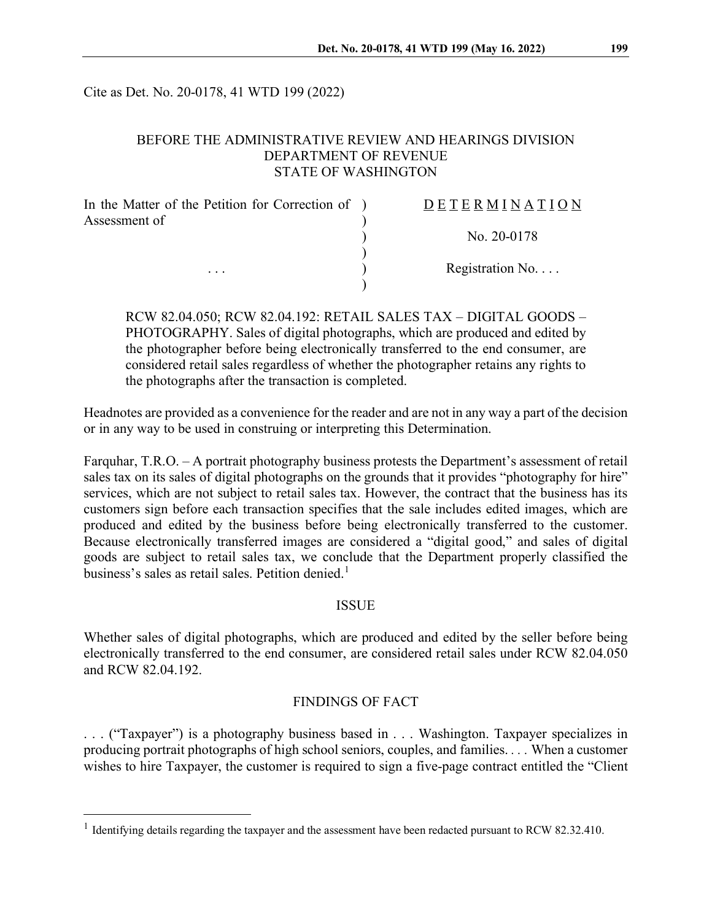Cite as Det. No. 20-0178, 41 WTD 199 (2022)

# BEFORE THE ADMINISTRATIVE REVIEW AND HEARINGS DIVISION DEPARTMENT OF REVENUE STATE OF WASHINGTON

| In the Matter of the Petition for Correction of ) | DETERMINATION   |
|---------------------------------------------------|-----------------|
| Assessment of                                     |                 |
|                                                   | No. $20-0178$   |
|                                                   |                 |
| $\cdots$                                          | Registration No |
|                                                   |                 |

RCW 82.04.050; RCW 82.04.192: RETAIL SALES TAX – DIGITAL GOODS – PHOTOGRAPHY. Sales of digital photographs, which are produced and edited by the photographer before being electronically transferred to the end consumer, are considered retail sales regardless of whether the photographer retains any rights to the photographs after the transaction is completed.

Headnotes are provided as a convenience for the reader and are not in any way a part of the decision or in any way to be used in construing or interpreting this Determination.

Farquhar, T.R.O. – A portrait photography business protests the Department's assessment of retail sales tax on its sales of digital photographs on the grounds that it provides "photography for hire" services, which are not subject to retail sales tax. However, the contract that the business has its customers sign before each transaction specifies that the sale includes edited images, which are produced and edited by the business before being electronically transferred to the customer. Because electronically transferred images are considered a "digital good," and sales of digital goods are subject to retail sales tax, we conclude that the Department properly classified the business's sales as retail sales. Petition denied.<sup>[1](#page-0-0)</sup>

# ISSUE

Whether sales of digital photographs, which are produced and edited by the seller before being electronically transferred to the end consumer, are considered retail sales under RCW 82.04.050 and RCW 82.04.192.

# FINDINGS OF FACT

. . . ("Taxpayer") is a photography business based in . . . Washington. Taxpayer specializes in producing portrait photographs of high school seniors, couples, and families. *. . .* When a customer wishes to hire Taxpayer, the customer is required to sign a five-page contract entitled the "Client

<span id="page-0-0"></span><sup>&</sup>lt;sup>1</sup> Identifying details regarding the taxpayer and the assessment have been redacted pursuant to RCW 82.32.410.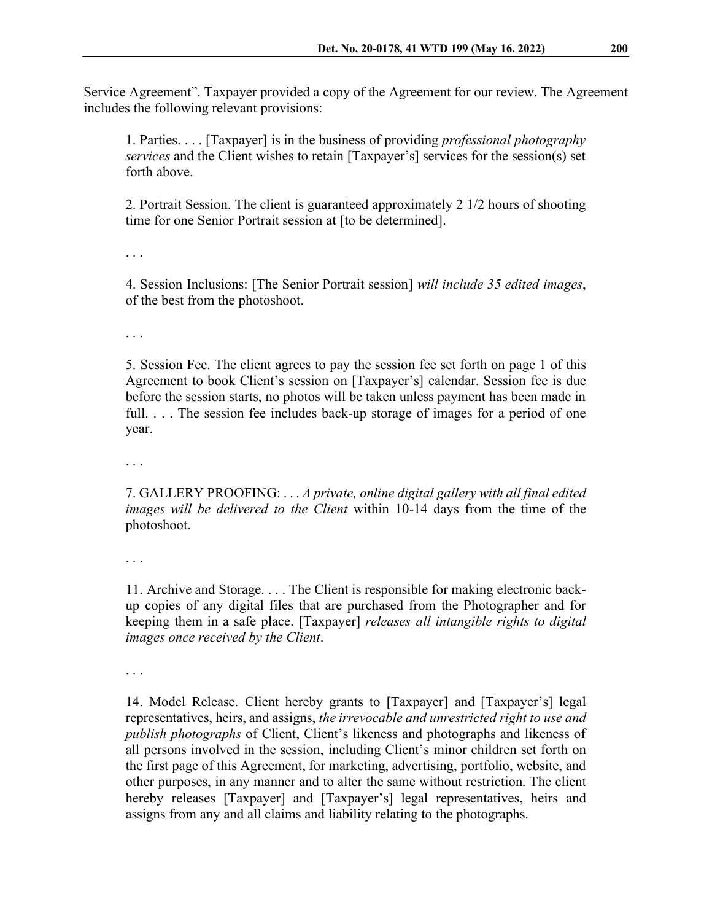Service Agreement". Taxpayer provided a copy of the Agreement for our review. The Agreement includes the following relevant provisions:

1. Parties. . . . [Taxpayer] is in the business of providing *professional photography services* and the Client wishes to retain [Taxpayer's] services for the session(s) set forth above.

2. Portrait Session. The client is guaranteed approximately 2 1/2 hours of shooting time for one Senior Portrait session at [to be determined].

. . .

4. Session Inclusions: [The Senior Portrait session] *will include 35 edited images*, of the best from the photoshoot.

. . .

5. Session Fee. The client agrees to pay the session fee set forth on page 1 of this Agreement to book Client's session on [Taxpayer's] calendar. Session fee is due before the session starts, no photos will be taken unless payment has been made in full. ... The session fee includes back-up storage of images for a period of one year.

. . .

7. GALLERY PROOFING: . . . *A private, online digital gallery with all final edited images will be delivered to the Client* within 10-14 days from the time of the photoshoot.

. . .

11. Archive and Storage. . . . The Client is responsible for making electronic backup copies of any digital files that are purchased from the Photographer and for keeping them in a safe place. [Taxpayer] *releases all intangible rights to digital images once received by the Client*.

. . .

14. Model Release. Client hereby grants to [Taxpayer] and [Taxpayer's] legal representatives, heirs, and assigns, *the irrevocable and unrestricted right to use and publish photographs* of Client, Client's likeness and photographs and likeness of all persons involved in the session, including Client's minor children set forth on the first page of this Agreement, for marketing, advertising, portfolio, website, and other purposes, in any manner and to alter the same without restriction. The client hereby releases [Taxpayer] and [Taxpayer's] legal representatives, heirs and assigns from any and all claims and liability relating to the photographs.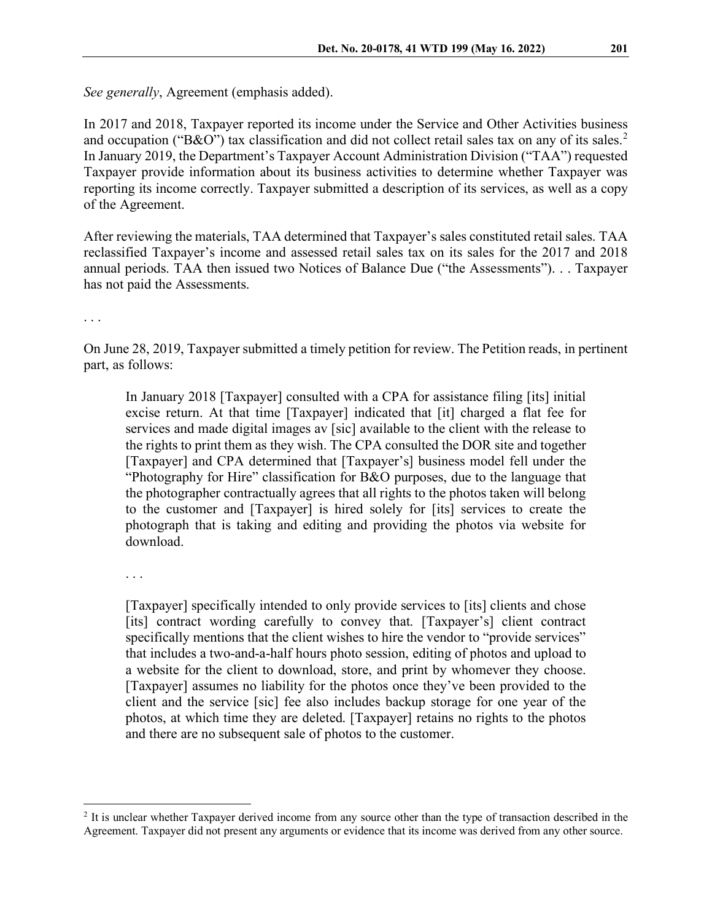*See generally*, Agreement (emphasis added).

In 2017 and 2018, Taxpayer reported its income under the Service and Other Activities business and occupation ("B&O") tax classification and did not collect retail sales tax on any of its sales.<sup>[2](#page-2-0)</sup> In January 2019, the Department's Taxpayer Account Administration Division ("TAA") requested Taxpayer provide information about its business activities to determine whether Taxpayer was reporting its income correctly. Taxpayer submitted a description of its services, as well as a copy of the Agreement.

After reviewing the materials, TAA determined that Taxpayer's sales constituted retail sales. TAA reclassified Taxpayer's income and assessed retail sales tax on its sales for the 2017 and 2018 annual periods. TAA then issued two Notices of Balance Due ("the Assessments"). . . Taxpayer has not paid the Assessments.

. . .

On June 28, 2019, Taxpayer submitted a timely petition for review. The Petition reads, in pertinent part, as follows:

In January 2018 [Taxpayer] consulted with a CPA for assistance filing [its] initial excise return. At that time [Taxpayer] indicated that [it] charged a flat fee for services and made digital images av [sic] available to the client with the release to the rights to print them as they wish. The CPA consulted the DOR site and together [Taxpayer] and CPA determined that [Taxpayer's] business model fell under the "Photography for Hire" classification for B&O purposes, due to the language that the photographer contractually agrees that all rights to the photos taken will belong to the customer and [Taxpayer] is hired solely for [its] services to create the photograph that is taking and editing and providing the photos via website for download.

. . .

[Taxpayer] specifically intended to only provide services to [its] clients and chose [its] contract wording carefully to convey that. [Taxpayer's] client contract specifically mentions that the client wishes to hire the vendor to "provide services" that includes a two-and-a-half hours photo session, editing of photos and upload to a website for the client to download, store, and print by whomever they choose. [Taxpayer] assumes no liability for the photos once they've been provided to the client and the service [sic] fee also includes backup storage for one year of the photos, at which time they are deleted. [Taxpayer] retains no rights to the photos and there are no subsequent sale of photos to the customer.

<span id="page-2-0"></span><sup>2</sup> It is unclear whether Taxpayer derived income from any source other than the type of transaction described in the Agreement. Taxpayer did not present any arguments or evidence that its income was derived from any other source.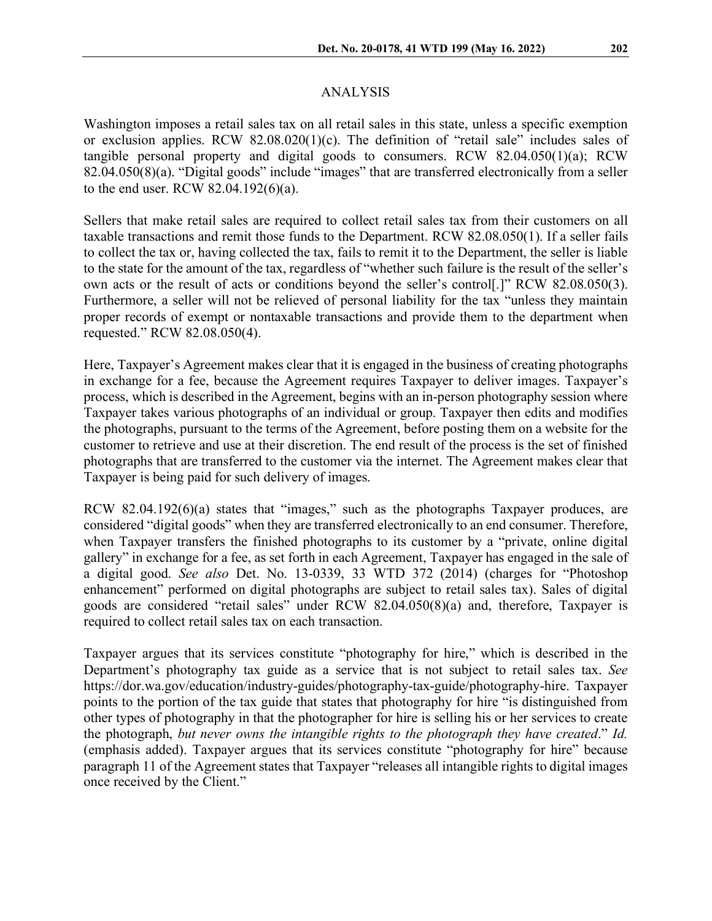## ANALYSIS

Washington imposes a retail sales tax on all retail sales in this state, unless a specific exemption or exclusion applies. RCW 82.08.020(1)(c). The definition of "retail sale" includes sales of tangible personal property and digital goods to consumers. RCW 82.04.050(1)(a); RCW 82.04.050(8)(a). "Digital goods" include "images" that are transferred electronically from a seller to the end user. RCW 82.04.192(6)(a).

Sellers that make retail sales are required to collect retail sales tax from their customers on all taxable transactions and remit those funds to the Department. RCW 82.08.050(1). If a seller fails to collect the tax or, having collected the tax, fails to remit it to the Department, the seller is liable to the state for the amount of the tax, regardless of "whether such failure is the result of the seller's own acts or the result of acts or conditions beyond the seller's control[.]" RCW 82.08.050(3). Furthermore, a seller will not be relieved of personal liability for the tax "unless they maintain proper records of exempt or nontaxable transactions and provide them to the department when requested." RCW 82.08.050(4).

Here, Taxpayer's Agreement makes clear that it is engaged in the business of creating photographs in exchange for a fee, because the Agreement requires Taxpayer to deliver images. Taxpayer's process, which is described in the Agreement, begins with an in-person photography session where Taxpayer takes various photographs of an individual or group. Taxpayer then edits and modifies the photographs, pursuant to the terms of the Agreement, before posting them on a website for the customer to retrieve and use at their discretion. The end result of the process is the set of finished photographs that are transferred to the customer via the internet. The Agreement makes clear that Taxpayer is being paid for such delivery of images.

RCW 82.04.192(6)(a) states that "images," such as the photographs Taxpayer produces, are considered "digital goods" when they are transferred electronically to an end consumer. Therefore, when Taxpayer transfers the finished photographs to its customer by a "private, online digital gallery" in exchange for a fee, as set forth in each Agreement, Taxpayer has engaged in the sale of a digital good. *See also* Det. No. 13-0339, 33 WTD 372 (2014) (charges for "Photoshop enhancement" performed on digital photographs are subject to retail sales tax). Sales of digital goods are considered "retail sales" under RCW 82.04.050(8)(a) and, therefore, Taxpayer is required to collect retail sales tax on each transaction.

Taxpayer argues that its services constitute "photography for hire," which is described in the Department's photography tax guide as a service that is not subject to retail sales tax. *See* https://dor.wa.gov/education/industry-guides/photography-tax-guide/photography-hire. Taxpayer points to the portion of the tax guide that states that photography for hire "is distinguished from other types of photography in that the photographer for hire is selling his or her services to create the photograph, *but never owns the intangible rights to the photograph they have created*." *Id.* (emphasis added). Taxpayer argues that its services constitute "photography for hire" because paragraph 11 of the Agreement states that Taxpayer "releases all intangible rights to digital images once received by the Client."